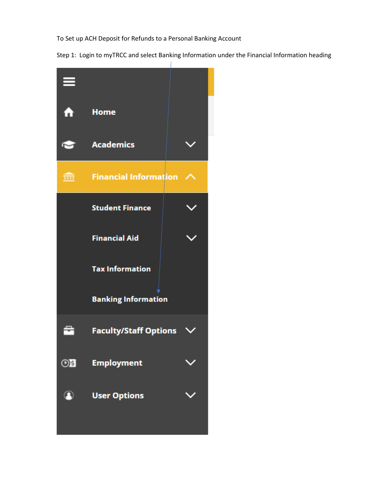To Set up ACH Deposit for Refunds to a Personal Banking Account

Step 1: Login to myTRCC and select Banking Information under the Financial Information heading

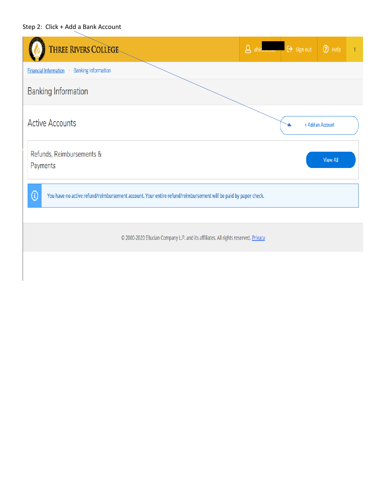## Step 2: Click + Add a Bank Account

| THREE RIVERS COLLEGE                                                                                                         | $\beta$ ahicksosed $\rightarrow$ Sign out | O Help           |  |  |  |  |  |
|------------------------------------------------------------------------------------------------------------------------------|-------------------------------------------|------------------|--|--|--|--|--|
| <b>Banking Information</b><br><b>Financial Information</b>                                                                   |                                           |                  |  |  |  |  |  |
| <b>Banking Information</b>                                                                                                   |                                           |                  |  |  |  |  |  |
| <b>Active Accounts</b>                                                                                                       |                                           | + Add an Account |  |  |  |  |  |
| Refunds, Reimbursements &<br>Payments                                                                                        |                                           | <b>View All</b>  |  |  |  |  |  |
| $\bigcirc$<br>You have no active refund/reimbursement account. Your entire refund/reimbursement will be paid by paper check. |                                           |                  |  |  |  |  |  |
| @ 2000-2020 Ellucian Company L.P. and its affiliates. All rights reserved. Privacy                                           |                                           |                  |  |  |  |  |  |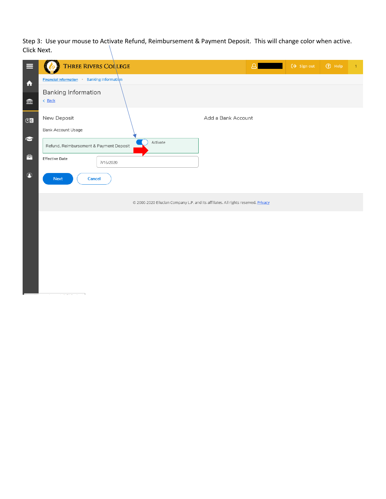Step 3: Use your mouse to Activate Refund, Reimbursement & Payment Deposit. This will change color when active. Click Next.

| ≡                                 | <b>THREE RIVERS COLLEGE</b>                                     | 8                                                                                  | $\leftrightarrow$ Sign out | ⊙ Help | $\mathbf{1}$ |
|-----------------------------------|-----------------------------------------------------------------|------------------------------------------------------------------------------------|----------------------------|--------|--------------|
| $\blacktriangle$                  | Banking Information<br><b>Financial Information</b><br>$\alpha$ |                                                                                    |                            |        |              |
| $\widehat{\overline{\mathbb{m}}}$ | <b>Banking Information</b><br>< Back                            |                                                                                    |                            |        |              |
| OS<br><b>V</b>                    | New Deposit<br>Bank Account Usage                               | Add a Bank Account                                                                 |                            |        |              |
|                                   | Activate<br>Refund, Reimbursement & Payment Deposit             |                                                                                    |                            |        |              |
| 춥                                 | <b>Effective Date</b><br>7/16/2020                              |                                                                                    |                            |        |              |
| $\circledcirc$                    | <b>Next</b><br><b>Cancel</b>                                    |                                                                                    |                            |        |              |
|                                   |                                                                 | © 2000-2020 Ellucian Company L.P. and its affiliates. All rights reserved. Privacy |                            |        |              |
|                                   |                                                                 |                                                                                    |                            |        |              |
|                                   |                                                                 |                                                                                    |                            |        |              |
|                                   |                                                                 |                                                                                    |                            |        |              |
|                                   |                                                                 |                                                                                    |                            |        |              |
|                                   |                                                                 |                                                                                    |                            |        |              |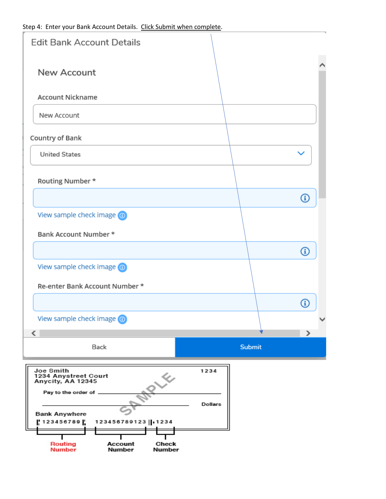| <b>Edit Bank Account Details</b>                                                                                                                          |                 |   |
|-----------------------------------------------------------------------------------------------------------------------------------------------------------|-----------------|---|
| New Account                                                                                                                                               |                 |   |
| <b>Account Nickname</b>                                                                                                                                   |                 |   |
| New Account                                                                                                                                               |                 |   |
| Country of Bank                                                                                                                                           |                 |   |
| <b>United States</b>                                                                                                                                      |                 |   |
| Routing Number *                                                                                                                                          |                 |   |
|                                                                                                                                                           |                 | 0 |
| View sample check image o                                                                                                                                 |                 |   |
| Bank Account Number *                                                                                                                                     |                 |   |
|                                                                                                                                                           |                 | ⊕ |
| View sample check image o                                                                                                                                 |                 |   |
| Re-enter Bank Account Number *                                                                                                                            |                 |   |
|                                                                                                                                                           |                 | 8 |
| View sample check image @                                                                                                                                 |                 |   |
| $\overline{\phantom{a}}$                                                                                                                                  |                 | ⋗ |
| Back                                                                                                                                                      | <b>Submit</b>   |   |
| Joe Smith<br>1234 Anystreet Court<br>$e^{\sqrt{x}}$<br>Anycity, AA 12345<br>Pay to the order of<br><b>Bank Anywhere</b><br>123456789<br>123456789123 1234 | 1234<br>Dollars |   |
| Routing<br>Check<br>Account<br>Number<br><b>Number</b><br>Number                                                                                          |                 |   |